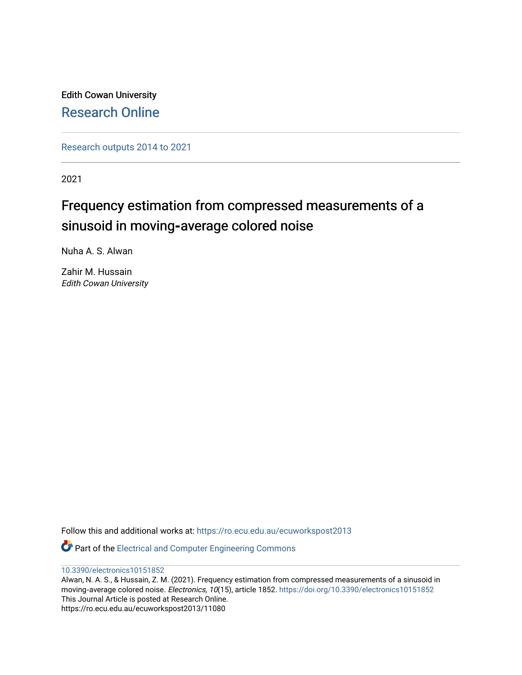Edith Cowan University [Research Online](https://ro.ecu.edu.au/) 

[Research outputs 2014 to 2021](https://ro.ecu.edu.au/ecuworkspost2013) 

2021

# Frequency estimation from compressed measurements of a sinusoid in moving-average colored noise

Nuha A. S. Alwan

Zahir M. Hussain Edith Cowan University

Follow this and additional works at: [https://ro.ecu.edu.au/ecuworkspost2013](https://ro.ecu.edu.au/ecuworkspost2013?utm_source=ro.ecu.edu.au%2Fecuworkspost2013%2F11080&utm_medium=PDF&utm_campaign=PDFCoverPages) 

Part of the [Electrical and Computer Engineering Commons](http://network.bepress.com/hgg/discipline/266?utm_source=ro.ecu.edu.au%2Fecuworkspost2013%2F11080&utm_medium=PDF&utm_campaign=PDFCoverPages) 

[10.3390/electronics10151852](http://dx.doi.org/10.3390/electronics10151852) 

Alwan, N. A. S., & Hussain, Z. M. (2021). Frequency estimation from compressed measurements of a sinusoid in moving-average colored noise. Electronics, 10(15), article 1852. <https://doi.org/10.3390/electronics10151852> This Journal Article is posted at Research Online. https://ro.ecu.edu.au/ecuworkspost2013/11080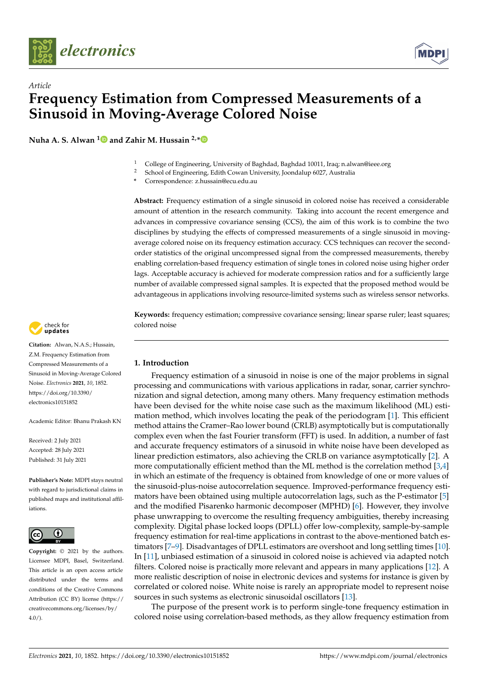



**Nuha A. S. Alwan [1](https://orcid.org/0000-0002-4040-9973) and Zahir M. Hussain 2,[\\*](https://orcid.org/0000-0002-1707-5485)**



- <sup>2</sup> School of Engineering, Edith Cowan University, Joondalup 6027, Australia
- **\*** Correspondence: z.hussain@ecu.edu.au

**Abstract:** Frequency estimation of a single sinusoid in colored noise has received a considerable amount of attention in the research community. Taking into account the recent emergence and advances in compressive covariance sensing (CCS), the aim of this work is to combine the two disciplines by studying the effects of compressed measurements of a single sinusoid in movingaverage colored noise on its frequency estimation accuracy. CCS techniques can recover the secondorder statistics of the original uncompressed signal from the compressed measurements, thereby enabling correlation-based frequency estimation of single tones in colored noise using higher order lags. Acceptable accuracy is achieved for moderate compression ratios and for a sufficiently large number of available compressed signal samples. It is expected that the proposed method would be advantageous in applications involving resource-limited systems such as wireless sensor networks.

**Keywords:** frequency estimation; compressive covariance sensing; linear sparse ruler; least squares; colored noise

## **1. Introduction**

Frequency estimation of a sinusoid in noise is one of the major problems in signal processing and communications with various applications in radar, sonar, carrier synchronization and signal detection, among many others. Many frequency estimation methods have been devised for the white noise case such as the maximum likelihood (ML) estimation method, which involves locating the peak of the periodogram [\[1\]](#page-10-0). This efficient method attains the Cramer–Rao lower bound (CRLB) asymptotically but is computationally complex even when the fast Fourier transform (FFT) is used. In addition, a number of fast and accurate frequency estimators of a sinusoid in white noise have been developed as linear prediction estimators, also achieving the CRLB on variance asymptotically [\[2\]](#page-10-1). A more computationally efficient method than the ML method is the correlation method  $[3,4]$  $[3,4]$ in which an estimate of the frequency is obtained from knowledge of one or more values of the sinusoid-plus-noise autocorrelation sequence. Improved-performance frequency estimators have been obtained using multiple autocorrelation lags, such as the P-estimator [\[5\]](#page-10-4) and the modified Pisarenko harmonic decomposer (MPHD) [\[6\]](#page-10-5). However, they involve phase unwrapping to overcome the resulting frequency ambiguities, thereby increasing complexity. Digital phase locked loops (DPLL) offer low-complexity, sample-by-sample frequency estimation for real-time applications in contrast to the above-mentioned batch estimators [\[7–](#page-10-6)[9\]](#page-10-7). Disadvantages of DPLL estimators are overshoot and long settling times [\[10\]](#page-10-8). In [\[11\]](#page-10-9), unbiased estimation of a sinusoid in colored noise is achieved via adapted notch filters. Colored noise is practically more relevant and appears in many applications [\[12\]](#page-10-10). A more realistic description of noise in electronic devices and systems for instance is given by correlated or colored noise. White noise is rarely an appropriate model to represent noise sources in such systems as electronic sinusoidal oscillators [\[13\]](#page-10-11).

The purpose of the present work is to perform single-tone frequency estimation in colored noise using correlation-based methods, as they allow frequency estimation from



**Citation:** Alwan, N.A.S.; Hussain, Z.M. Frequency Estimation from Compressed Measurements of a Sinusoid in Moving-Average Colored Noise. *Electronics* **2021**, *10*, 1852. [https://doi.org/10.3390/](https://doi.org/10.3390/electronics10151852) [electronics10151852](https://doi.org/10.3390/electronics10151852)

Academic Editor: Bhanu Prakash KN

Received: 2 July 2021 Accepted: 28 July 2021 Published: 31 July 2021

**Publisher's Note:** MDPI stays neutral with regard to jurisdictional claims in published maps and institutional affiliations.



**Copyright:** © 2021 by the authors. Licensee MDPI, Basel, Switzerland. This article is an open access article distributed under the terms and conditions of the Creative Commons Attribution (CC BY) license (https:/[/](https://creativecommons.org/licenses/by/4.0/) [creativecommons.org/licenses/by/](https://creativecommons.org/licenses/by/4.0/)  $4.0/$ ).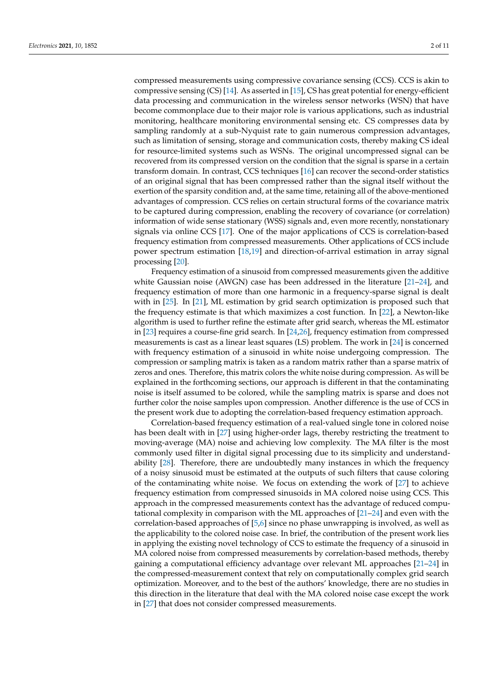compressed measurements using compressive covariance sensing (CCS). CCS is akin to compressive sensing (CS) [\[14\]](#page-10-12). As asserted in [\[15\]](#page-10-13), CS has great potential for energy-efficient data processing and communication in the wireless sensor networks (WSN) that have become commonplace due to their major role is various applications, such as industrial monitoring, healthcare monitoring environmental sensing etc. CS compresses data by sampling randomly at a sub-Nyquist rate to gain numerous compression advantages, such as limitation of sensing, storage and communication costs, thereby making CS ideal for resource-limited systems such as WSNs. The original uncompressed signal can be recovered from its compressed version on the condition that the signal is sparse in a certain transform domain. In contrast, CCS techniques [\[16\]](#page-10-14) can recover the second-order statistics of an original signal that has been compressed rather than the signal itself without the exertion of the sparsity condition and, at the same time, retaining all of the above-mentioned advantages of compression. CCS relies on certain structural forms of the covariance matrix to be captured during compression, enabling the recovery of covariance (or correlation) information of wide sense stationary (WSS) signals and, even more recently, nonstationary signals via online CCS [\[17\]](#page-10-15). One of the major applications of CCS is correlation-based frequency estimation from compressed measurements. Other applications of CCS include power spectrum estimation [\[18](#page-10-16)[,19\]](#page-11-0) and direction-of-arrival estimation in array signal processing [\[20\]](#page-11-1).

Frequency estimation of a sinusoid from compressed measurements given the additive white Gaussian noise (AWGN) case has been addressed in the literature [\[21](#page-11-2)[–24\]](#page-11-3), and frequency estimation of more than one harmonic in a frequency-sparse signal is dealt with in [\[25\]](#page-11-4). In [\[21\]](#page-11-2), ML estimation by grid search optimization is proposed such that the frequency estimate is that which maximizes a cost function. In [\[22\]](#page-11-5), a Newton-like algorithm is used to further refine the estimate after grid search, whereas the ML estimator in [\[23\]](#page-11-6) requires a course-fine grid search. In [\[24](#page-11-3)[,26\]](#page-11-7), frequency estimation from compressed measurements is cast as a linear least squares (LS) problem. The work in [\[24\]](#page-11-3) is concerned with frequency estimation of a sinusoid in white noise undergoing compression. The compression or sampling matrix is taken as a random matrix rather than a sparse matrix of zeros and ones. Therefore, this matrix colors the white noise during compression. As will be explained in the forthcoming sections, our approach is different in that the contaminating noise is itself assumed to be colored, while the sampling matrix is sparse and does not further color the noise samples upon compression. Another difference is the use of CCS in the present work due to adopting the correlation-based frequency estimation approach.

Correlation-based frequency estimation of a real-valued single tone in colored noise has been dealt with in [\[27\]](#page-11-8) using higher-order lags, thereby restricting the treatment to moving-average (MA) noise and achieving low complexity. The MA filter is the most commonly used filter in digital signal processing due to its simplicity and understandability [\[28\]](#page-11-9). Therefore, there are undoubtedly many instances in which the frequency of a noisy sinusoid must be estimated at the outputs of such filters that cause coloring of the contaminating white noise. We focus on extending the work of [\[27\]](#page-11-8) to achieve frequency estimation from compressed sinusoids in MA colored noise using CCS. This approach in the compressed measurements context has the advantage of reduced computational complexity in comparison with the ML approaches of [\[21](#page-11-2)[–24\]](#page-11-3) and even with the correlation-based approaches of [\[5](#page-10-4)[,6\]](#page-10-5) since no phase unwrapping is involved, as well as the applicability to the colored noise case. In brief, the contribution of the present work lies in applying the existing novel technology of CCS to estimate the frequency of a sinusoid in MA colored noise from compressed measurements by correlation-based methods, thereby gaining a computational efficiency advantage over relevant ML approaches [\[21–](#page-11-2)[24\]](#page-11-3) in the compressed-measurement context that rely on computationally complex grid search optimization. Moreover, and to the best of the authors' knowledge, there are no studies in this direction in the literature that deal with the MA colored noise case except the work in [\[27\]](#page-11-8) that does not consider compressed measurements.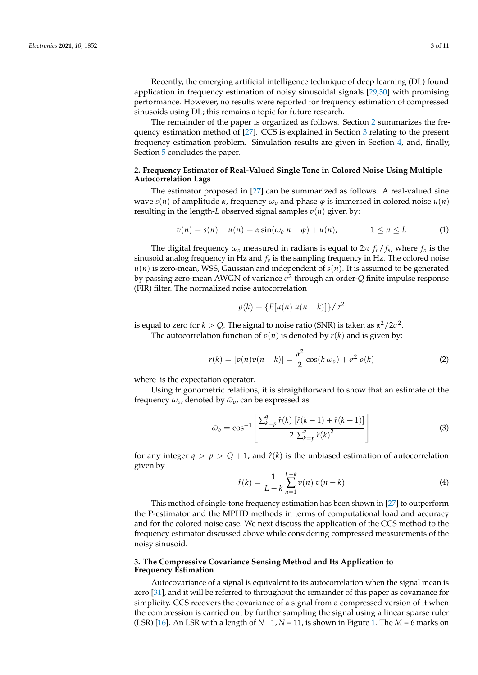Recently, the emerging artificial intelligence technique of deep learning (DL) found application in frequency estimation of noisy sinusoidal signals [\[29](#page-11-10)[,30\]](#page-11-11) with promising performance. However, no results were reported for frequency estimation of compressed sinusoids using DL; this remains a topic for future research.

The remainder of the paper is organized as follows. Section [2](#page-3-0) summarizes the frequency estimation method of [\[27\]](#page-11-8). CCS is explained in Section [3](#page-3-1) relating to the present frequency estimation problem. Simulation results are given in Section [4,](#page-5-0) and, finally, Section [5](#page-9-0) concludes the paper.

## <span id="page-3-0"></span>**2. Frequency Estimator of Real-Valued Single Tone in Colored Noise Using Multiple Autocorrelation Lags**

The estimator proposed in [\[27\]](#page-11-8) can be summarized as follows. A real-valued sine wave *s*(*n*) of amplitude *α*, frequency  $\omega$ <sub>*o*</sub> and phase  $\varphi$  is immersed in colored noise  $u(n)$ resulting in the length-*L* observed signal samples  $v(n)$  given by:

$$
v(n) = s(n) + u(n) = \alpha \sin(\omega_0 \ n + \varphi) + u(n), \qquad 1 \le n \le L \qquad (1)
$$

The digital frequency *ω<sup>o</sup>* measured in radians is equal to 2*π fo*/ *f<sup>s</sup>* , where *f<sup>o</sup>* is the sinusoid analog frequency in Hz and *f<sup>s</sup>* is the sampling frequency in Hz. The colored noise  $u(n)$  is zero-mean, WSS, Gaussian and independent of  $s(n)$ . It is assumed to be generated by passing zero-mean AWGN of variance *σ* 2 through an order-*Q* finite impulse response (FIR) filter. The normalized noise autocorrelation

$$
\rho(k) = \left\{ E[u(n) u(n-k)] \right\} / \sigma^2
$$

is equal to zero for  $k > Q$ . The signal to noise ratio (SNR) is taken as  $\alpha^2/2\sigma^2$ .

The autocorrelation function of  $v(n)$  is denoted by  $r(k)$  and is given by:

$$
r(k) = [v(n)v(n-k)] = \frac{\alpha^2}{2}\cos(k\omega_o) + \sigma^2\rho(k)
$$
 (2)

where is the expectation operator.

Using trigonometric relations, it is straightforward to show that an estimate of the frequency  $\omega_o$ , denoted by  $\hat{\omega}_o$ , can be expressed as

$$
\hat{\omega}_o = \cos^{-1}\left[\frac{\sum_{k=p}^q \hat{r}(k) \left[\hat{r}(k-1) + \hat{r}(k+1)\right]}{2 \sum_{k=p}^q \hat{r}(k)^2}\right]
$$
\n(3)

for any integer  $q > p > Q + 1$ , and  $\hat{r}(k)$  is the unbiased estimation of autocorrelation given by

$$
\hat{r}(k) = \frac{1}{L-k} \sum_{n=1}^{L-k} v(n) v(n-k)
$$
\n(4)

This method of single-tone frequency estimation has been shown in [\[27\]](#page-11-8) to outperform the P-estimator and the MPHD methods in terms of computational load and accuracy and for the colored noise case. We next discuss the application of the CCS method to the frequency estimator discussed above while considering compressed measurements of the noisy sinusoid.

## <span id="page-3-1"></span>**3. The Compressive Covariance Sensing Method and Its Application to Frequency Estimation**

Autocovariance of a signal is equivalent to its autocorrelation when the signal mean is zero [\[31\]](#page-11-12), and it will be referred to throughout the remainder of this paper as covariance for simplicity. CCS recovers the covariance of a signal from a compressed version of it when the compression is carried out by further sampling the signal using a linear sparse ruler (LSR) [\[16\]](#page-10-14). An LSR with a length of *N*−1, *N* = 11, is shown in Figure [1.](#page-4-0) The *M* = 6 marks on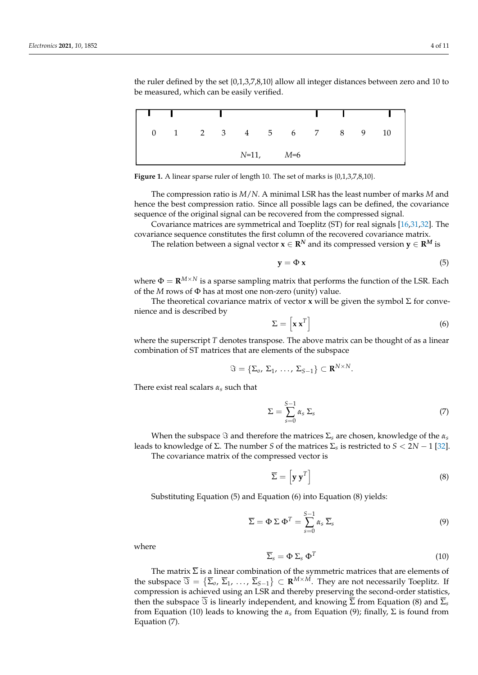the ruler defined by the set  $\{0,1,3,7,8,10\}$  allow all integer distances between zero and 10 to be measured, which can be easily verified.

<span id="page-4-0"></span>

|  |  |               |                        | <b>Contract Contract</b> |  |  |
|--|--|---------------|------------------------|--------------------------|--|--|
|  |  |               | 0 1 2 3 4 5 6 7 8 9 10 |                          |  |  |
|  |  | $N=11,$ $M=6$ |                        |                          |  |  |

Figure 1. A linear sparse ruler of length 10. The set of marks is  $\{0,1,3,7,8,10\}$ .

**Figure 1. A** linear space  $\frac{1}{2}$ 

and 10 to be measured, which can be easily verified. We assume that  $\alpha$ 

hence the best compression ratio. Since all possible lags can be defined, the covariance sequence of the original signal can be recovered from the compressed signal. The compression ratio is *M*/*N*. A minimal LSR has the least number of marks *M* and

Covariance matrices are symmetrical and Toeplitz (ST) for real signals [\[16,](#page-10-14)31[,32\]](#page-11-13). The covariance sequence constitutes the first column of the recovered covariance matrix.

where  $\mathcal{L}_{\mathcal{A}}$  sampling matrix that performs that performs that performs the function of the  $\mathcal{L}_{\mathcal{A}}$ 

The relation between a signal vector  $\mathbf{x} \in \mathbb{R}^N$  and its compressed version  $\mathbf{y} \in \mathbb{R}^M$  is

$$
y = \Phi x \tag{5}
$$

 $T = \mathbf{r} M \times N$  is vector matrix of vector  $\mathcal{C}$  for  $\mathcal{C}$   $\mathcal{C}$  for convenience the symbol  $\mathcal{C}$ where  $\Phi = \mathbf{R}^{M \times N}$  is a sparse sampling matrix that performs the function of the LSR. Each of the *M* rows of Φ has at most one non-zero (unity) value.

The theoretical covariance matrix of vector **x** will be given the symbol  $\Sigma$  for convenience and is described by  $\begin{bmatrix} 1 \end{bmatrix}$ 

$$
\Sigma = \left[ \mathbf{x} \, \mathbf{x}^T \right] \tag{6}
$$

where the superscript *T* denotes transpose. The above matrix can be thought of as a linear combination of ST matrices that are elements of the subspace

$$
\Im = \{\Sigma_o, \Sigma_1, \ldots, \Sigma_{S-1}\} \subset \mathbf{R}^{N \times N}.
$$

There exist real scalars *αs* such that

$$
\Sigma = \sum_{s=0}^{S-1} \alpha_s \, \Sigma_s \tag{7}
$$

 $V$  (8) The number *S* and therefore the matrices  $\sum_{S}$  are chosen, knowledge of the  $s$  leads to knowledge of Σ. The number *S* of the matrices  $\sum_{S}$  is restricted to *S* < 2*N* − 1 [\[32\]](#page-11-13). The covariance matrix of the compressed vector is When the subspace  $\Im$  and therefore the matrices  $\Sigma_s$  are chosen, knowledge of the  $\alpha_s$ 

$$
\overline{\Sigma} = \left[ \mathbf{y} \, \mathbf{y}^T \right] \tag{8}
$$

Substituting Equation (5) and Equation (6) into Equation (8) yields:

$$
\overline{\Sigma} = \Phi \Sigma \Phi^{T} = \sum_{s=0}^{S-1} \alpha_{s} \overline{\Sigma}_{s}
$$
 (9)

 $where$ where

$$
\overline{\Sigma}_s = \Phi \Sigma_s \Phi^T \tag{10}
$$

The matrix  $\overline{\Sigma}$  is a linear combination of the symmetric matrices that are elements of the subspace  $\overline{\Im} = \{\overline{\Sigma}_0, \,\overline{\Sigma}_1, \, \ldots, \, \overline{\Sigma}_{S-1}\} \subset \mathbf{R}^{M \times M}$ . They are not necessarily Toeplitz. If compression is achieved using an LSR and thereby preserving the second-order statistics, then the subspace  $\overline{\Im}$  is linearly independent, and knowing  $\overline{\Sigma}$  from Equation (8) and  $\overline{\Sigma}_s$ from Equation (10) leads to knowing the  $\alpha_s$  from Equation (9); finally,  $\Sigma$  is found from Equation (7).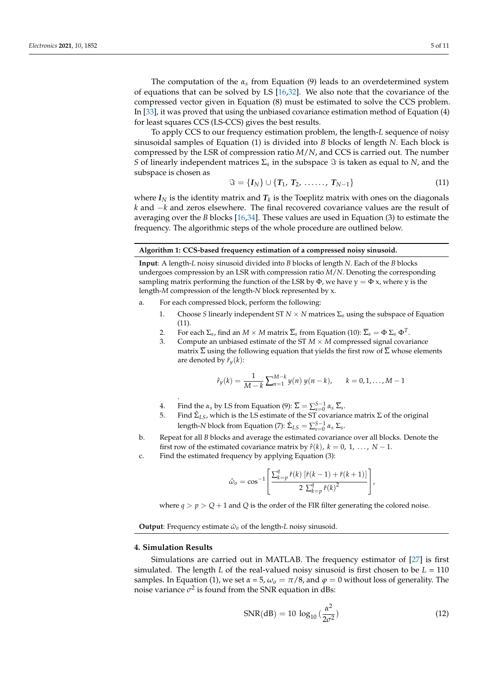The computation of the *α<sup>s</sup>* from Equation (9) leads to an overdetermined system of equations that can be solved by LS [\[16,](#page-10-14)[32\]](#page-11-13). We also note that the covariance of the compressed vector given in Equation (8) must be estimated to solve the CCS problem. In [\[33\]](#page-11-14), it was proved that using the unbiased covariance estimation method of Equation (4) for least squares CCS (LS-CCS) gives the best results.

To apply CCS to our frequency estimation problem, the length-*L* sequence of noisy sinusoidal samples of Equation (1) is divided into *B* blocks of length *N*. Each block is compressed by the LSR of compression ratio *M*/*N*, and CCS is carried out. The number *S* of linearly independent matrices  $\Sigma$ <sub>s</sub> in the subspace  $\Im$  is taken as equal to *N*, and the subspace is chosen as

$$
\Im = \{I_N\} \cup \{T_1, T_2, \ldots, T_{N-1}\}\tag{11}
$$

where  $I_N$  is the identity matrix and  $T_k$  is the Toeplitz matrix with ones on the diagonals *k* and −*k* and zeros elsewhere. The final recovered covariance values are the result of averaging over the *B* blocks [\[16,](#page-10-14)[34\]](#page-11-15). These values are used in Equation (3) to estimate the frequency. The algorithmic steps of the whole procedure are outlined below.

#### **Algorithm 1: CCS-based frequency estimation of a compressed noisy sinusoid.**

**Input**: A length-*L* noisy sinusoid divided into *B* blocks of length *N*. Each of the *B* blocks undergoes compression by an LSR with compression ratio *M*/*N*. Denoting the corresponding sampling matrix performing the function of the LSR by  $\Phi$ , we have  $y = \Phi x$ , where y is the length-*M* compression of the length-*N* block represented by x.

- a. For each compressed block, perform the following:
	- 1. Choose *S* linearly independent ST  $N \times N$  matrices  $\Sigma_s$  using the subspace of Equation  $(11)$ .
	- 2. For each  $\Sigma_s$ , find an  $M \times M$  matrix  $\overline{\Sigma}_s$  from Equation (10):  $\overline{\Sigma}_s = \Phi \Sigma_s \Phi^T$ .
	- 3. Compute an unbiased estimate of the ST  $M \times M$  compressed signal covariance matrix  $\overline{\Sigma}$  using the following equation that yields the first row of  $\overline{\Sigma}$  whose elements are denoted by  $\hat{r}_y(k)$ :

$$
\hat{r}_y(k) = \frac{1}{M-k} \sum_{n=1}^{M-k} y(n) y(n-k), \qquad k = 0, 1, ..., M-1
$$

- 4. Find the  $\alpha_s$  by LS from Equation (9):  $\overline{\Sigma} = \sum_{s=0}^{S-1} \alpha_s \overline{\Sigma}_s$ .
- 5. Find  $\hat{\Sigma}_{LS}$ , which is the LS estimate of the ST covariance matrix Σ of the original length-*N* block from Equation (7):  $\hat{\Sigma}_{LS} = \sum_{s=0}^{S-1} \alpha_s \Sigma_s$ .
- b. Repeat for all *B* blocks and average the estimated covariance over all blocks. Denote the first row of the estimated covariance matrix by  $\hat{r}(k)$ ,  $k = 0, 1, ..., N - 1$ .
- c. Find the estimated frequency by applying Equation (3):

$$
\hat{\omega}_o = \cos^{-1}\left[\frac{\sum_{k=p}^q \hat{r}(k) \left[\hat{r}(k-1) + \hat{r}(k+1)\right]}{2 \sum_{k=p}^q \hat{r}(k)^2}\right],
$$

where  $q > p > Q + 1$  and *Q* is the order of the FIR filter generating the colored noise.

**Output:** Frequency estimate  $\hat{\omega}_0$  of the length-*L* noisy sinusoid.

# <span id="page-5-0"></span>**4. Simulation Results**

.

Simulations are carried out in MATLAB. The frequency estimator of [\[27\]](#page-11-8) is first simulated. The length *L* of the real-valued noisy sinusoid is first chosen to be  $L = 110$ samples. In Equation (1), we set  $\alpha = 5$ ,  $\omega<sub>o</sub> = \pi/8$ , and  $\varphi = 0$  without loss of generality. The noise variance  $\sigma^2$  is found from the SNR equation in dBs:

$$
SNR(dB) = 10 \log_{10}(\frac{\alpha^2}{2\sigma^2})
$$
 (12)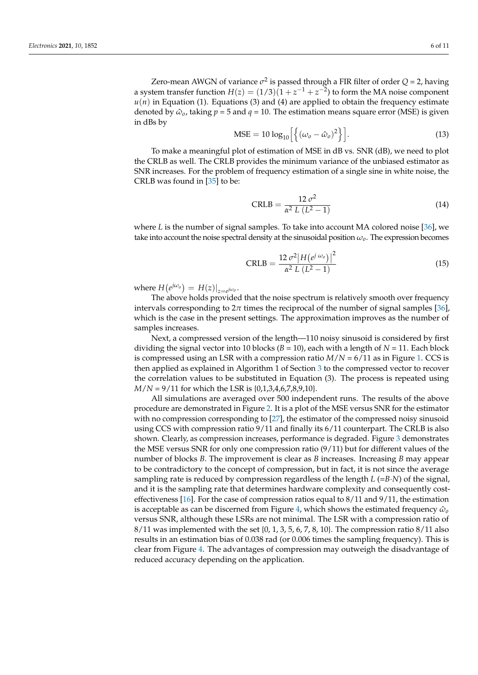Zero-mean AWGN of variance  $\sigma^2$  is passed through a FIR filter of order  $Q = 2$ , having a system transfer function  $H(z) = (1/3)(1 + z^{-1} + z^{-2})$  to form the MA noise component  $u(n)$  in Equation (1). Equations (3) and (4) are applied to obtain the frequency estimate denoted by  $\hat{\omega}_0$ , taking  $p = 5$  and  $q = 10$ . The estimation means square error (MSE) is given in dBs by

$$
\text{MSE} = 10 \log_{10} \left[ \left\{ (\omega_o - \hat{\omega}_o)^2 \right\} \right]. \tag{13}
$$

To make a meaningful plot of estimation of MSE in dB vs. SNR (dB), we need to plot the CRLB as well. The CRLB provides the minimum variance of the unbiased estimator as SNR increases. For the problem of frequency estimation of a single sine in white noise, the CRLB was found in [\[35\]](#page-11-16) to be:

$$
CRLB = \frac{12 \sigma^2}{\alpha^2 L (L^2 - 1)}
$$
 (14)

where *L* is the number of signal samples. To take into account MA colored noise [\[36\]](#page-11-17), we take into account the noise spectral density at the sinusoidal position *ωo*. The expression becomes

$$
CRLB = \frac{12 \sigma^2 |H(e^{j \omega_0})|^2}{\alpha^2 L (L^2 - 1)}
$$
(15)

where  $H\left(e^{j\omega_o}\right) = H(z)|_{z=e^{j\omega_o}}$ .

The above holds provided that the noise spectrum is relatively smooth over frequency intervals corresponding to  $2\pi$  times the reciprocal of the number of signal samples [\[36\]](#page-11-17), which is the case in the present settings. The approximation improves as the number of samples increases.

Next, a compressed version of the length—110 noisy sinusoid is considered by first dividing the signal vector into 10 blocks  $(B = 10)$ , each with a length of  $N = 11$ . Each block is compressed using an LSR with a compression ratio *M*/*N* = 6/11 as in Figure [1.](#page-4-0) CCS is then applied as explained in Algorithm 1 of Section [3](#page-3-1) to the compressed vector to recover the correlation values to be substituted in Equation (3). The process is repeated using *M*/*N* = 9/11 for which the LSR is {0,1,3,4,6,7,8,9,10}.

All simulations are averaged over 500 independent runs. The results of the above procedure are demonstrated in Figure [2.](#page-7-0) It is a plot of the MSE versus SNR for the estimator with no compression corresponding to [\[27\]](#page-11-8), the estimator of the compressed noisy sinusoid using CCS with compression ratio 9/11 and finally its 6/11 counterpart. The CRLB is also shown. Clearly, as compression increases, performance is degraded. Figure [3](#page-7-1) demonstrates the MSE versus SNR for only one compression ratio (9/11) but for different values of the number of blocks *B*. The improvement is clear as *B* increases. Increasing *B* may appear to be contradictory to the concept of compression, but in fact, it is not since the average sampling rate is reduced by compression regardless of the length *L* (=*B*·*N*) of the signal, and it is the sampling rate that determines hardware complexity and consequently cost-effectiveness [\[16\]](#page-10-14). For the case of compression ratios equal to  $8/11$  and  $9/11$ , the estimation is acceptable as can be discerned from Figure [4,](#page-7-2) which shows the estimated frequency  $\hat{\omega}_o$ versus SNR, although these LSRs are not minimal. The LSR with a compression ratio of  $8/11$  was implemented with the set {0, 1, 3, 5, 6, 7, 8, 10}. The compression ratio  $8/11$  also results in an estimation bias of 0.038 rad (or 0.006 times the sampling frequency). This is clear from Figure [4.](#page-7-2) The advantages of compression may outweigh the disadvantage of reduced accuracy depending on the application.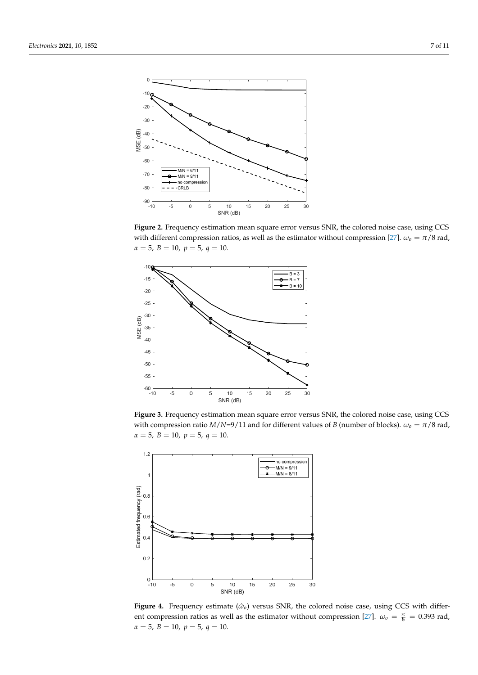<span id="page-7-0"></span>

Figure 2. Frequency estimation mean square error versus SNR, the colored noise case, using CCS with different compression ratios, as well as the estimator without compression  $\frac{27}{7}$ . with different compression ratios, as well as the estimator without compression [\[27\]](#page-11-8).  $\omega_0 = \pi/8$  rad,  $\alpha = 5, B = 10, p = 5, q = 10.$ 

<span id="page-7-1"></span>

Figure 3. Frequency estimation mean square error versus SNR, the colored noise case, using CCS with compression ratio  $M/N=9/11$  and for different values of *B* (number of b with compression ratio *M*/*N*=9/11 and for different values of *B* (number of blocks).  $\omega_o = \pi/8$  rad,  $\alpha = 5$ ,  $B = 10$ ,  $p = 5$ ,  $q = 10$ .

<span id="page-7-2"></span>

Figure 4. Frequency estimate  $(\hat{\omega}_0)$  versus SNR, the colored noise case, using CCS with differ-ent compression ratios as well as the estimator without compression [\[27\]](#page-11-8).  $\omega_o = \frac{\pi}{8} = 0.393$  rad,  $\alpha = 5, B = 10, p = 5, q = 10.$ Figure 4. Frequency estimate ( $\hat{\omega}_o$ ) versus SNR, the colored noise case, using CCS with different compression ratios as well as the estimator without compression [27].  $\omega_o = \frac{\pi}{8} = 0.393$  rad,  $\alpha = 5$ ,  $B = 10$ ,  $p = 5$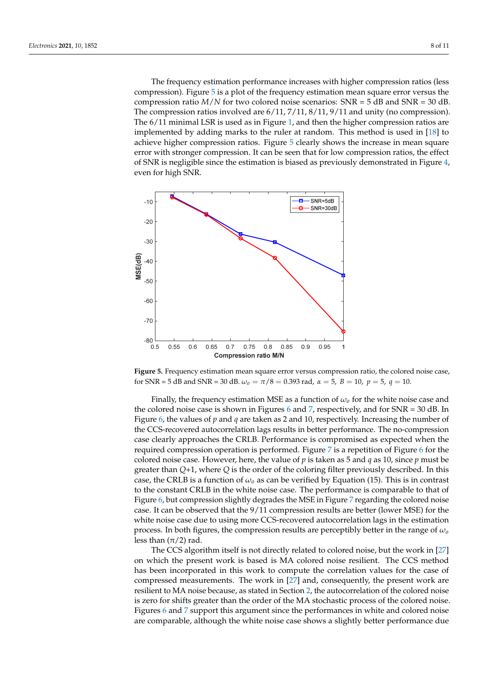$\overline{\phantom{a}}$  ,  $\overline{\phantom{a}}$  ,  $\overline{\phantom{a}}$  ,  $\overline{\phantom{a}}$  ,  $\overline{\phantom{a}}$  ,  $\overline{\phantom{a}}$  ,  $\overline{\phantom{a}}$  ,  $\overline{\phantom{a}}$  ,  $\overline{\phantom{a}}$  ,  $\overline{\phantom{a}}$  ,  $\overline{\phantom{a}}$  ,  $\overline{\phantom{a}}$  ,  $\overline{\phantom{a}}$  ,  $\overline{\phantom{a}}$  ,  $\overline{\phantom{a}}$  ,  $\overline{\phantom{a}}$ 

The frequency estimation performance increases with higher compression ratios (less compression). Figure 5 is a plot of the frequency estimation mean square err[or](#page-8-0) versus the compression ratio  $M/N$  for two colored noise scenarios:  $SNR = 5$  dB and  $SNR = 30$  dB. The compression ratios involved are  $6/11, 7/11, 8/11, 9/11$  and unity (no compression). The  $6/11$  minimal LSR is used as in Figure 1, and then the higher c[om](#page-4-0)pression ratios are implemented by adding marks to the ruler at random. This method is used in  $[18]$  to achieve higher compression ratios. Figure 5 clearly sh[ow](#page-8-0)s the increase in mean square error with stronger compression. It can be seen that for low compression ratios, the effect of SNR is negligible since the estimation is biased as previously demonstrated in Figure [4,](#page-7-2) even for high SNR.

<span id="page-8-0"></span>

**Figure 5.** Frequency estimation mean square error versus compression ratio, the colored noise **Figure 5.** Frequency estimation mean square error versus compression ratio, the colored noise case, for SNR = 5 dB and SNR = 30 dB.  $\omega_o = \pi/8 = 0.393$  rad,  $\alpha = 5$ ,  $B = 10$ ,  $p = 5$ ,  $q = 10$ .

Finally, the frequency estimation MSE as a function of *ωo* for the white noise case and the colored noise case is shown in Figures [6](#page-9-1) and [7,](#page-9-2) respectively, and for SNR = 30 dB. In Figure [6,](#page-9-1) the values of *p* and *q* are taken as 2 and 10, respectively. Increasing the number of the CCS-recovered autocorrelation lags results in better performance. The no-compression case clearly approaches the CRLB. Performance is compromised as expected when the required compression operation is performed. Figure [7](#page-9-2) is a repetition of Figure [6](#page-9-1) for the colored noise case. However, here, the value of *p* is taken as 5 and *q* as 10, since *p* must be greater than *Q*+1, where *Q* is the order of the coloring filter previously described. In this case, the CRLB is a function of *ω<sup>o</sup>* as can be verified by Equation (15). This is in contrast to the constant CRLB in the white noise case. The performance is comparable to that of Figure [6,](#page-9-1) but compression slightly degrades the MSE in Figure [7](#page-9-2) regarding the colored noise case. It can be observed that the 9/11 compression results are better (lower MSE) for the white noise case due to using more CCS-recovered autocorrelation lags in the estimation process. In both figures, the compression results are perceptibly better in the range of *ω<sup>o</sup>* less than  $(\pi/2)$  rad.

The CCS algorithm itself is not directly related to colored noise, but the work in [\[27\]](#page-11-8) on which the present work is based is MA colored noise resilient. The CCS method has been incorporated in this work to compute the correlation values for the case of compressed measurements. The work in [\[27\]](#page-11-8) and, consequently, the present work are resilient to MA noise because, as stated in Section [2,](#page-3-0) the autocorrelation of the colored noise is zero for shifts greater than the order of the MA stochastic process of the colored noise. Figures [6](#page-9-1) and [7](#page-9-2) support this argument since the performances in white and colored noise are comparable, although the white noise case shows a slightly better performance due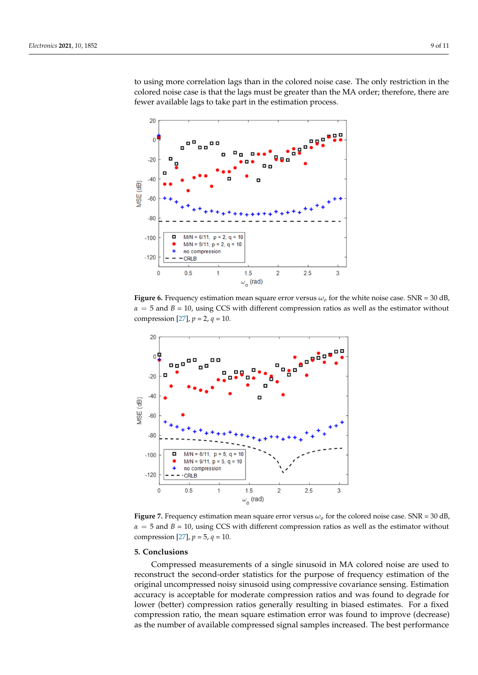to using more correlation lags than in the colored noise case. The only restriction in the colored noise case is that the lags must be greater than the MA order; therefore, there are fewer available lags to take part in the estimation process.

<span id="page-9-1"></span>

**Figure 6.** Frequency estimation mean square error versus  $\omega_o$  for the white noise case. SNR = 30 dB,  $\alpha = 5$  and *B* = 10, using CCS with different compression ratios as well as the estimator without compression [\[27\]](#page-11-8),  $p = 2$ ,  $q = 10$ .

<span id="page-9-2"></span>

**Figure 7.** Frequency estimation mean square error versus  $\omega_o$  for the colored noise case. SNR = 30 dB,  $\alpha = 5$  and *B* = 10, using CCS with different compression ratios as well as the estimator without compression [\[27\]](#page-11-8),  $p = 5$ ,  $q = 10$ .

# <span id="page-9-0"></span>**5. Conclusions 5. Conclusions**

Compressed measurements of a single sinusoid in MA colored noise are used to reconstruct the second-order statistics for the purpose of frequency estimation of the original uncompressed noisy sinusoid using compressive covariance sensing. Estimation accuracy is acceptable for moderate compression ratios and was found to degrade for lower (better) compression ratios generally resulting in biased estimates. For a fixed compression ratio, the mean square estimation error was found to improve (decrease) as the number of available compressed signal samples increased. The best performance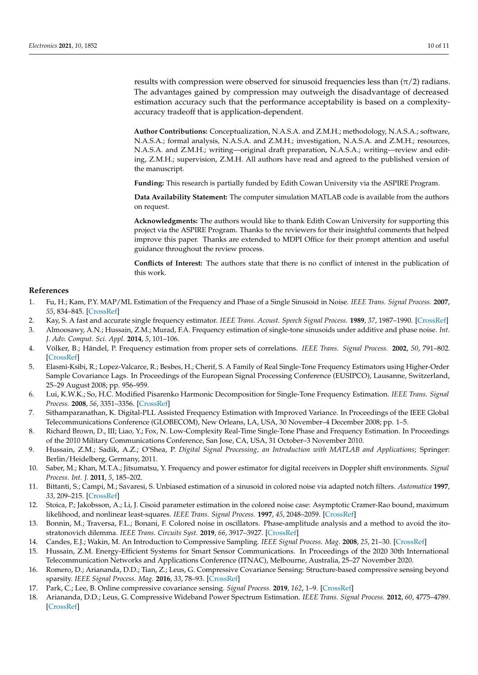results with compression were observed for sinusoid frequencies less than  $(\pi/2)$  radians. The advantages gained by compression may outweigh the disadvantage of decreased estimation accuracy such that the performance acceptability is based on a complexityaccuracy tradeoff that is application-dependent.

**Author Contributions:** Conceptualization, N.A.S.A. and Z.M.H.; methodology, N.A.S.A.; software, N.A.S.A.; formal analysis, N.A.S.A. and Z.M.H.; investigation, N.A.S.A. and Z.M.H.; resources, N.A.S.A. and Z.M.H.; writing—original draft preparation, N.A.S.A.; writing—review and editing, Z.M.H.; supervision, Z.M.H. All authors have read and agreed to the published version of the manuscript.

**Funding:** This research is partially funded by Edith Cowan University via the ASPIRE Program.

**Data Availability Statement:** The computer simulation MATLAB code is available from the authors on request.

**Acknowledgments:** The authors would like to thank Edith Cowan University for supporting this project via the ASPIRE Program. Thanks to the reviewers for their insightful comments that helped improve this paper. Thanks are extended to MDPI Office for their prompt attention and useful guidance throughout the review process.

**Conflicts of Interest:** The authors state that there is no conflict of interest in the publication of this work.

#### **References**

- <span id="page-10-0"></span>1. Fu, H.; Kam, P.Y. MAP/ML Estimation of the Frequency and Phase of a Single Sinusoid in Noise. *IEEE Trans. Signal Process.* **2007**, *55*, 834–845. [\[CrossRef\]](http://doi.org/10.1109/TSP.2006.888055)
- <span id="page-10-1"></span>2. Kay, S. A fast and accurate single frequency estimator. *IEEE Trans. Acoust. Speech Signal Process.* **1989**, *37*, 1987–1990. [\[CrossRef\]](http://doi.org/10.1109/29.45547)
- <span id="page-10-2"></span>3. Almoosawy, A.N.; Hussain, Z.M.; Murad, F.A. Frequency estimation of single-tone sinusoids under additive and phase noise. *Int. J. Adv. Comput. Sci. Appl.* **2014**, *5*, 101–106.
- <span id="page-10-3"></span>4. Völker, B.; Händel, P. Frequency estimation from proper sets of correlations. *IEEE Trans. Signal Process.* **2002**, *50*, 791–802. [\[CrossRef\]](http://doi.org/10.1109/78.992122)
- <span id="page-10-4"></span>5. Elasmi-Ksibi, R.; Lopez-Valcarce, R.; Besbes, H.; Cherif, S. A Family of Real Single-Tone Frequency Estimators using Higher-Order Sample Covariance Lags. In Proceedings of the European Signal Processing Conference (EUSIPCO), Lausanne, Switzerland, 25–29 August 2008; pp. 956–959.
- <span id="page-10-5"></span>6. Lui, K.W.K.; So, H.C. Modified Pisarenko Harmonic Decomposition for Single-Tone Frequency Estimation. *IEEE Trans. Signal Process.* **2008**, *56*, 3351–3356. [\[CrossRef\]](http://doi.org/10.1109/TSP.2008.920486)
- <span id="page-10-6"></span>7. Sithamparanathan, K. Digital-PLL Assisted Frequency Estimation with Improved Variance. In Proceedings of the IEEE Global Telecommunications Conference (GLOBECOM), New Orleans, LA, USA, 30 November–4 December 2008; pp. 1–5.
- 8. Richard Brown, D., III; Liao, Y.; Fox, N. Low-Complexity Real-Time Single-Tone Phase and Frequency Estimation. In Proceedings of the 2010 Military Communications Conference, San Jose, CA, USA, 31 October–3 November 2010.
- <span id="page-10-7"></span>9. Hussain, Z.M.; Sadik, A.Z.; O'Shea, P. *Digital Signal Processing, an Introduction with MATLAB and Applications*; Springer: Berlin/Heidelberg, Germany, 2011.
- <span id="page-10-8"></span>10. Saber, M.; Khan, M.T.A.; Jitsumatsu, Y. Frequency and power estimator for digital receivers in Doppler shift environments. *Signal Process. Int. J.* **2011**, *5*, 185–202.
- <span id="page-10-9"></span>11. Bittanti, S.; Campi, M.; Savaresi, S. Unbiased estimation of a sinusoid in colored noise via adapted notch filters. *Automatica* **1997**, *33*, 209–215. [\[CrossRef\]](http://doi.org/10.1016/S0005-1098(96)00145-8)
- <span id="page-10-10"></span>12. Stoica, P.; Jakobsson, A.; Li, J. Cisoid parameter estimation in the colored noise case: Asymptotic Cramer-Rao bound, maximum likelihood, and nonlinear least-squares. *IEEE Trans. Signal Process.* **1997**, *45*, 2048–2059. [\[CrossRef\]](http://doi.org/10.1109/78.611203)
- <span id="page-10-11"></span>13. Bonnin, M.; Traversa, F.L.; Bonani, F. Colored noise in oscillators. Phase-amplitude analysis and a method to avoid the itostratonovich dilemma. *IEEE Trans. Circuits Syst.* **2019**, *66*, 3917–3927. [\[CrossRef\]](http://doi.org/10.1109/TCSI.2019.2914398)
- <span id="page-10-12"></span>14. Candes, E.J.; Wakin, M. An Introduction to Compressive Sampling. *IEEE Signal Process. Mag.* **2008**, *25*, 21–30. [\[CrossRef\]](http://doi.org/10.1109/MSP.2007.914731)
- <span id="page-10-13"></span>15. Hussain, Z.M. Energy-Efficient Systems for Smart Sensor Communications. In Proceedings of the 2020 30th International Telecommunication Networks and Applications Conference (ITNAC), Melbourne, Australia, 25–27 November 2020.
- <span id="page-10-14"></span>16. Romero, D.; Ariananda, D.D.; Tian, Z.; Leus, G. Compressive Covariance Sensing: Structure-based compressive sensing beyond sparsity. *IEEE Signal Process. Mag.* **2016**, *33*, 78–93. [\[CrossRef\]](http://doi.org/10.1109/MSP.2015.2486805)
- <span id="page-10-15"></span>17. Park, C.; Lee, B. Online compressive covariance sensing. *Signal Process.* **2019**, *162*, 1–9. [\[CrossRef\]](http://doi.org/10.1016/j.sigpro.2019.04.006)
- <span id="page-10-16"></span>18. Ariananda, D.D.; Leus, G. Compressive Wideband Power Spectrum Estimation. *IEEE Trans. Signal Process.* **2012**, *60*, 4775–4789. [\[CrossRef\]](http://doi.org/10.1109/TSP.2012.2201153)